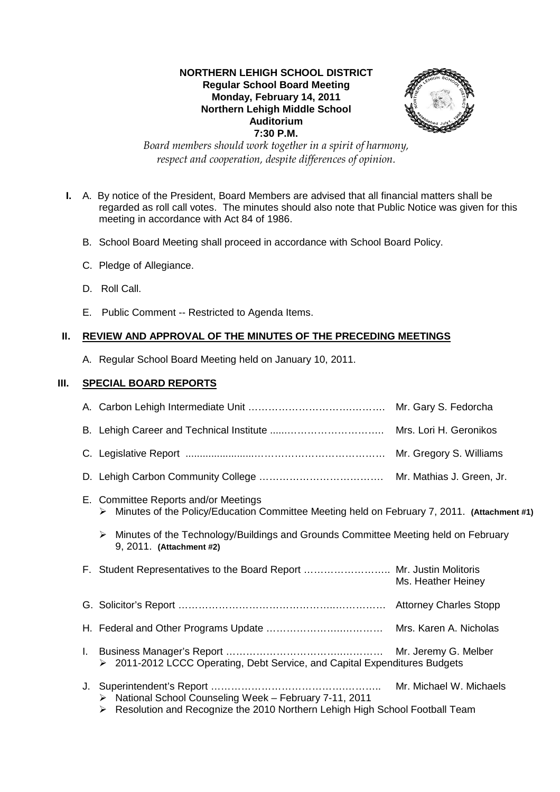## **NORTHERN LEHIGH SCHOOL DISTRICT Regular School Board Meeting Monday, February 14, 2011 Northern Lehigh Middle School Auditorium 7:30 P.M.**



*Board members should work together in a spirit of harmony, respect and cooperation, despite differences of opinion.* 

- **I.** A. By notice of the President, Board Members are advised that all financial matters shall be regarded as roll call votes. The minutes should also note that Public Notice was given for this meeting in accordance with Act 84 of 1986.
	- B. School Board Meeting shall proceed in accordance with School Board Policy.
	- C. Pledge of Allegiance.
	- D. Roll Call.
	- E. Public Comment -- Restricted to Agenda Items.

# **II. REVIEW AND APPROVAL OF THE MINUTES OF THE PRECEDING MEETINGS**

A. Regular School Board Meeting held on January 10, 2011.

# **III. SPECIAL BOARD REPORTS**

|    |                                                                                                                                             | Mr. Gary S. Fedorcha      |
|----|---------------------------------------------------------------------------------------------------------------------------------------------|---------------------------|
|    |                                                                                                                                             | Mrs. Lori H. Geronikos    |
|    |                                                                                                                                             | Mr. Gregory S. Williams   |
|    |                                                                                                                                             | Mr. Mathias J. Green, Jr. |
|    | E. Committee Reports and/or Meetings<br>Minutes of the Policy/Education Committee Meeting held on February 7, 2011. (Attachment #1)<br>➤    |                           |
|    | Minutes of the Technology/Buildings and Grounds Committee Meeting held on February<br>➤<br>9, 2011. (Attachment #2)                         |                           |
|    | F. Student Representatives to the Board Report  Mr. Justin Molitoris                                                                        | Ms. Heather Heiney        |
|    |                                                                                                                                             |                           |
|    |                                                                                                                                             |                           |
| L. | ▶ 2011-2012 LCCC Operating, Debt Service, and Capital Expenditures Budgets                                                                  | Mr. Jeremy G. Melber      |
|    | ▶ National School Counseling Week – February 7-11, 2011<br>Resolution and Recognize the 2010 Northern Lehigh High School Football Team<br>➤ | Mr. Michael W. Michaels   |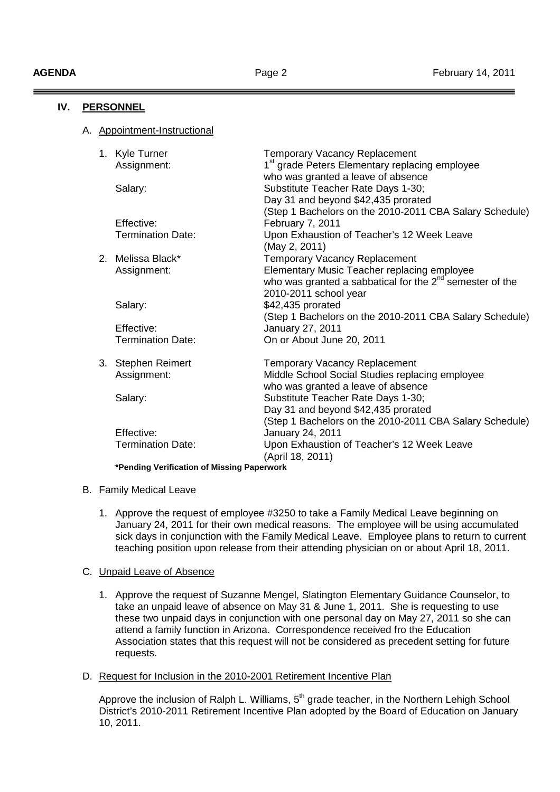**IV. PERSONNEL**

| IV.<br><b>PERSUNNEL</b> |  |  |                                            |                                                                                                                     |
|-------------------------|--|--|--------------------------------------------|---------------------------------------------------------------------------------------------------------------------|
|                         |  |  | A. Appointment-Instructional               |                                                                                                                     |
|                         |  |  | 1. Kyle Turner                             | <b>Temporary Vacancy Replacement</b>                                                                                |
|                         |  |  | Assignment:                                | 1 <sup>st</sup> grade Peters Elementary replacing employee<br>who was granted a leave of absence                    |
|                         |  |  | Salary:                                    | Substitute Teacher Rate Days 1-30;                                                                                  |
|                         |  |  |                                            | Day 31 and beyond \$42,435 prorated                                                                                 |
|                         |  |  |                                            | (Step 1 Bachelors on the 2010-2011 CBA Salary Schedule)                                                             |
|                         |  |  | Effective:                                 | February 7, 2011                                                                                                    |
|                         |  |  | <b>Termination Date:</b>                   | Upon Exhaustion of Teacher's 12 Week Leave                                                                          |
|                         |  |  |                                            | (May 2, 2011)                                                                                                       |
|                         |  |  | 2. Melissa Black*                          | <b>Temporary Vacancy Replacement</b>                                                                                |
|                         |  |  | Assignment:                                | Elementary Music Teacher replacing employee<br>who was granted a sabbatical for the 2 <sup>nd</sup> semester of the |
|                         |  |  |                                            | 2010-2011 school year                                                                                               |
|                         |  |  | Salary:                                    | \$42,435 prorated                                                                                                   |
|                         |  |  |                                            | (Step 1 Bachelors on the 2010-2011 CBA Salary Schedule)                                                             |
|                         |  |  | Effective:                                 | January 27, 2011                                                                                                    |
|                         |  |  | <b>Termination Date:</b>                   | On or About June 20, 2011                                                                                           |
|                         |  |  | 3. Stephen Reimert                         | <b>Temporary Vacancy Replacement</b>                                                                                |
|                         |  |  | Assignment:                                | Middle School Social Studies replacing employee                                                                     |
|                         |  |  |                                            | who was granted a leave of absence                                                                                  |
|                         |  |  | Salary:                                    | Substitute Teacher Rate Days 1-30;                                                                                  |
|                         |  |  |                                            | Day 31 and beyond \$42,435 prorated                                                                                 |
|                         |  |  |                                            | (Step 1 Bachelors on the 2010-2011 CBA Salary Schedule)                                                             |
|                         |  |  | Effective:                                 | January 24, 2011                                                                                                    |
|                         |  |  | <b>Termination Date:</b>                   | Upon Exhaustion of Teacher's 12 Week Leave<br>(April 18, 2011)                                                      |
|                         |  |  | *Pending Verification of Missing Paperwork |                                                                                                                     |

### B. Family Medical Leave

1. Approve the request of employee #3250 to take a Family Medical Leave beginning on January 24, 2011 for their own medical reasons. The employee will be using accumulated sick days in conjunction with the Family Medical Leave. Employee plans to return to current teaching position upon release from their attending physician on or about April 18, 2011.

### C. Unpaid Leave of Absence

- 1. Approve the request of Suzanne Mengel, Slatington Elementary Guidance Counselor, to take an unpaid leave of absence on May 31 & June 1, 2011. She is requesting to use these two unpaid days in conjunction with one personal day on May 27, 2011 so she can attend a family function in Arizona. Correspondence received fro the Education Association states that this request will not be considered as precedent setting for future requests.
- D. Request for Inclusion in the 2010-2001 Retirement Incentive Plan

Approve the inclusion of Ralph L. Williams, 5<sup>th</sup> grade teacher, in the Northern Lehigh School District's 2010-2011 Retirement Incentive Plan adopted by the Board of Education on January 10, 2011.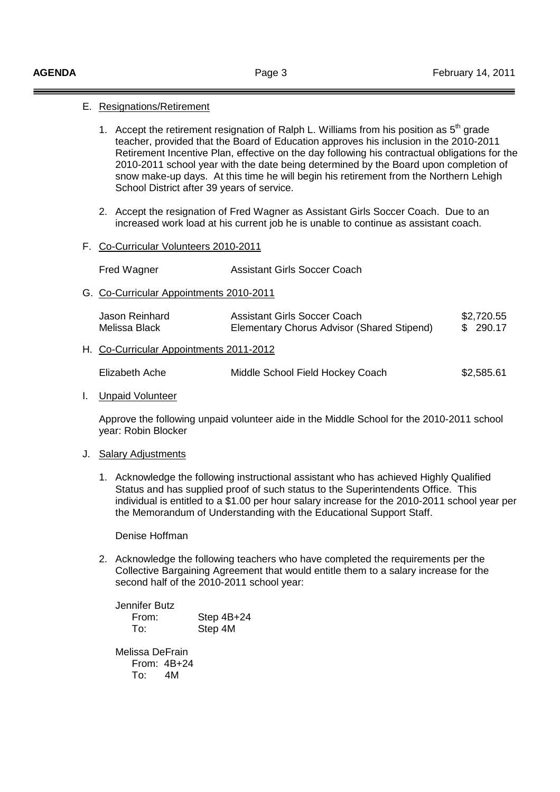### E. Resignations/Retirement

- 1. Accept the retirement resignation of Ralph L. Williams from his position as  $5<sup>th</sup>$  grade teacher, provided that the Board of Education approves his inclusion in the 2010-2011 Retirement Incentive Plan, effective on the day following his contractual obligations for the 2010-2011 school year with the date being determined by the Board upon completion of snow make-up days. At this time he will begin his retirement from the Northern Lehigh School District after 39 years of service.
- 2. Accept the resignation of Fred Wagner as Assistant Girls Soccer Coach. Due to an increased work load at his current job he is unable to continue as assistant coach.

#### F. Co-Curricular Volunteers 2010-2011

| Fred Wagner | Assistant Girls Soccer Coach |
|-------------|------------------------------|
|             |                              |

G. Co-Curricular Appointments 2010-2011

| Jason Reinhard<br>Melissa Black         | Assistant Girls Soccer Coach<br>Elementary Chorus Advisor (Shared Stipend) | \$2,720.55<br>\$ 290.17 |
|-----------------------------------------|----------------------------------------------------------------------------|-------------------------|
| H. Co-Curricular Appointments 2011-2012 |                                                                            |                         |

| Elizabeth Ache | Middle School Field Hockey Coach | \$2,585.61 |
|----------------|----------------------------------|------------|
|----------------|----------------------------------|------------|

#### I. Unpaid Volunteer

Approve the following unpaid volunteer aide in the Middle School for the 2010-2011 school year: Robin Blocker

#### J. Salary Adjustments

1. Acknowledge the following instructional assistant who has achieved Highly Qualified Status and has supplied proof of such status to the Superintendents Office. This individual is entitled to a \$1.00 per hour salary increase for the 2010-2011 school year per the Memorandum of Understanding with the Educational Support Staff.

Denise Hoffman

2. Acknowledge the following teachers who have completed the requirements per the Collective Bargaining Agreement that would entitle them to a salary increase for the second half of the 2010-2011 school year:

| Jennifer Butz   |              |
|-----------------|--------------|
| From:           | Step $4B+24$ |
| To:             | Step 4M      |
|                 |              |
| Melissa DeFrain |              |
| From: $4B+24$   |              |

To: 4M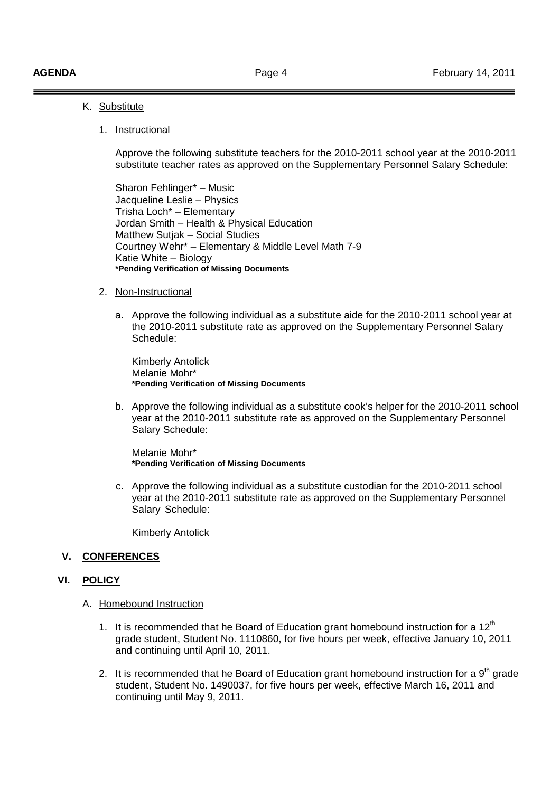### K. Substitute

### 1. Instructional

 Approve the following substitute teachers for the 2010-2011 school year at the 2010-2011 substitute teacher rates as approved on the Supplementary Personnel Salary Schedule:

 Sharon Fehlinger\* – Music Jacqueline Leslie – Physics Trisha Loch\* – Elementary Jordan Smith – Health & Physical Education Matthew Sutjak – Social Studies Courtney Wehr\* – Elementary & Middle Level Math 7-9 Katie White – Biology **\*Pending Verification of Missing Documents** 

#### 2. Non-Instructional

a. Approve the following individual as a substitute aide for the 2010-2011 school year at the 2010-2011 substitute rate as approved on the Supplementary Personnel Salary Schedule:

 Kimberly Antolick Melanie Mohr\* **\*Pending Verification of Missing Documents** 

b. Approve the following individual as a substitute cook's helper for the 2010-2011 school year at the 2010-2011 substitute rate as approved on the Supplementary Personnel Salary Schedule:

 Melanie Mohr\* **\*Pending Verification of Missing Documents** 

c. Approve the following individual as a substitute custodian for the 2010-2011 school year at the 2010-2011 substitute rate as approved on the Supplementary Personnel Salary Schedule:

Kimberly Antolick

### **V. CONFERENCES**

## **VI. POLICY**

- A. Homebound Instruction
	- 1. It is recommended that he Board of Education grant homebound instruction for a  $12<sup>th</sup>$ grade student, Student No. 1110860, for five hours per week, effective January 10, 2011 and continuing until April 10, 2011.
	- 2. It is recommended that he Board of Education grant homebound instruction for a  $9<sup>th</sup>$  grade student, Student No. 1490037, for five hours per week, effective March 16, 2011 and continuing until May 9, 2011.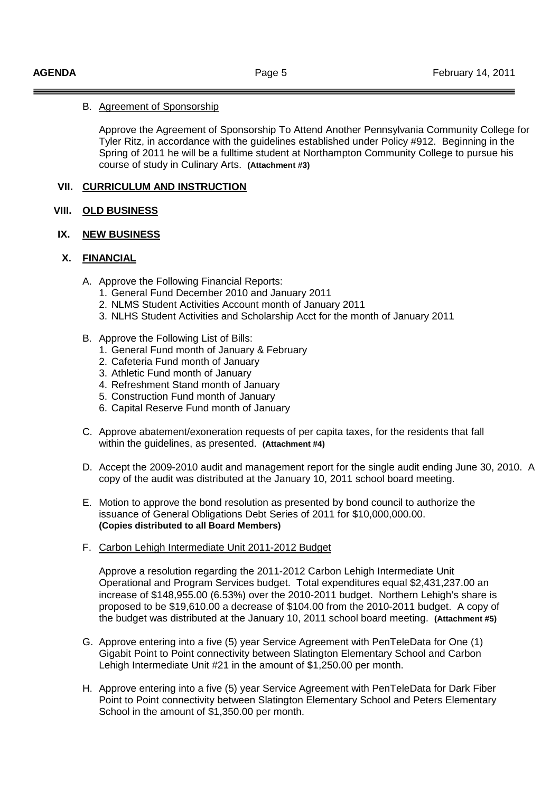## B. Agreement of Sponsorship

Approve the Agreement of Sponsorship To Attend Another Pennsylvania Community College for Tyler Ritz, in accordance with the guidelines established under Policy #912. Beginning in the Spring of 2011 he will be a fulltime student at Northampton Community College to pursue his course of study in Culinary Arts. **(Attachment #3)** 

## **VII. CURRICULUM AND INSTRUCTION**

## **VIII. OLD BUSINESS**

## **IX. NEW BUSINESS**

# **X. FINANCIAL**

- A. Approve the Following Financial Reports:
	- 1. General Fund December 2010 and January 2011
	- 2. NLMS Student Activities Account month of January 2011
	- 3. NLHS Student Activities and Scholarship Acct for the month of January 2011
- B. Approve the Following List of Bills:
	- 1. General Fund month of January & February
	- 2. Cafeteria Fund month of January
	- 3. Athletic Fund month of January
	- 4. Refreshment Stand month of January
	- 5. Construction Fund month of January
	- 6. Capital Reserve Fund month of January
- C. Approve abatement/exoneration requests of per capita taxes, for the residents that fall within the guidelines, as presented. **(Attachment #4)**
- D. Accept the 2009-2010 audit and management report for the single audit ending June 30, 2010. A copy of the audit was distributed at the January 10, 2011 school board meeting.
- E. Motion to approve the bond resolution as presented by bond council to authorize the issuance of General Obligations Debt Series of 2011 for \$10,000,000.00. **(Copies distributed to all Board Members)**
- F. Carbon Lehigh Intermediate Unit 2011-2012 Budget

 Approve a resolution regarding the 2011-2012 Carbon Lehigh Intermediate Unit Operational and Program Services budget. Total expenditures equal \$2,431,237.00 an increase of \$148,955.00 (6.53%) over the 2010-2011 budget. Northern Lehigh's share is proposed to be \$19,610.00 a decrease of \$104.00 from the 2010-2011 budget. A copy of the budget was distributed at the January 10, 2011 school board meeting. **(Attachment #5)** 

- G. Approve entering into a five (5) year Service Agreement with PenTeleData for One (1) Gigabit Point to Point connectivity between Slatington Elementary School and Carbon Lehigh Intermediate Unit #21 in the amount of \$1,250.00 per month.
- H. Approve entering into a five (5) year Service Agreement with PenTeleData for Dark Fiber Point to Point connectivity between Slatington Elementary School and Peters Elementary School in the amount of \$1,350.00 per month.